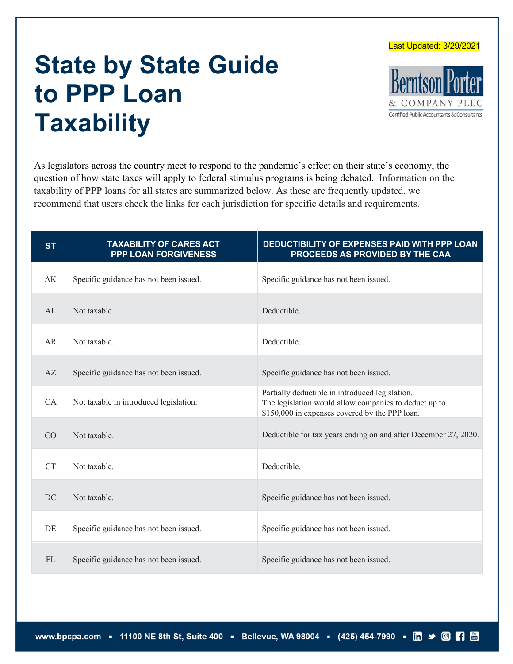Last Updated: 3/29/2021

## **State by State Guide to PPP Loan Taxability**



As legislators across the country meet to respond to the pandemic's effect on their state's economy, the question of how state taxes will apply to federal stimulus programs is being debated. Information on the taxability of PPP loans for all states are summarized below. As these are frequently updated, we recommend that users check the links for each jurisdiction for specific details and requirements.

| <b>ST</b> | <b>TAXABILITY OF CARES ACT</b><br><b>PPP LOAN FORGIVENESS</b> | DEDUCTIBILITY OF EXPENSES PAID WITH PPP LOAN<br>PROCEEDS AS PROVIDED BY THE CAA                                                                            |
|-----------|---------------------------------------------------------------|------------------------------------------------------------------------------------------------------------------------------------------------------------|
| AK        | Specific guidance has not been issued.                        | Specific guidance has not been issued.                                                                                                                     |
| AL        | Not taxable.                                                  | Deductible.                                                                                                                                                |
| AR        | Not taxable.                                                  | Deductible.                                                                                                                                                |
| AZ        | Specific guidance has not been issued.                        | Specific guidance has not been issued.                                                                                                                     |
| CA        | Not taxable in introduced legislation.                        | Partially deductible in introduced legislation.<br>The legislation would allow companies to deduct up to<br>\$150,000 in expenses covered by the PPP loan. |
| CO        | Not taxable.                                                  | Deductible for tax years ending on and after December 27, 2020.                                                                                            |
| <b>CT</b> | Not taxable.                                                  | Deductible.                                                                                                                                                |
| DC        | Not taxable.                                                  | Specific guidance has not been issued.                                                                                                                     |
| DE        | Specific guidance has not been issued.                        | Specific guidance has not been issued.                                                                                                                     |
| <b>FL</b> | Specific guidance has not been issued.                        | Specific guidance has not been issued.                                                                                                                     |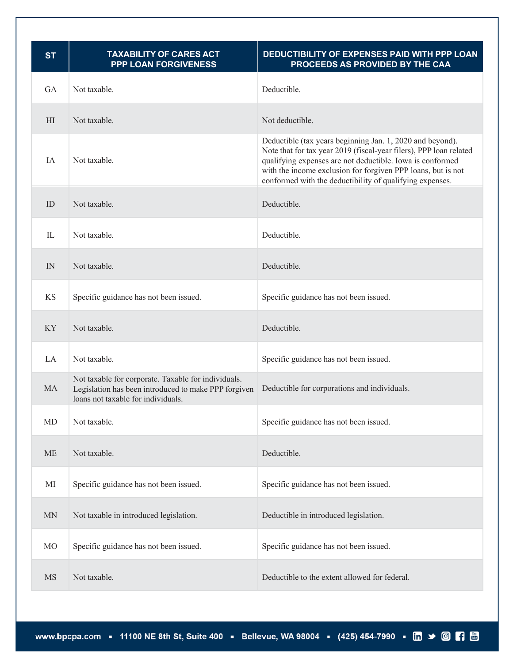| <b>ST</b>           | <b>TAXABILITY OF CARES ACT</b><br><b>PPP LOAN FORGIVENESS</b>                                                                                     | DEDUCTIBILITY OF EXPENSES PAID WITH PPP LOAN<br>PROCEEDS AS PROVIDED BY THE CAA                                                                                                                                                                                                                                          |
|---------------------|---------------------------------------------------------------------------------------------------------------------------------------------------|--------------------------------------------------------------------------------------------------------------------------------------------------------------------------------------------------------------------------------------------------------------------------------------------------------------------------|
| GA                  | Not taxable.                                                                                                                                      | Deductible.                                                                                                                                                                                                                                                                                                              |
| H <sub>I</sub>      | Not taxable.                                                                                                                                      | Not deductible.                                                                                                                                                                                                                                                                                                          |
| IA                  | Not taxable.                                                                                                                                      | Deductible (tax years beginning Jan. 1, 2020 and beyond).<br>Note that for tax year 2019 (fiscal-year filers), PPP loan related<br>qualifying expenses are not deductible. Iowa is conformed<br>with the income exclusion for forgiven PPP loans, but is not<br>conformed with the deductibility of qualifying expenses. |
| ID                  | Not taxable.                                                                                                                                      | Deductible.                                                                                                                                                                                                                                                                                                              |
| IL                  | Not taxable.                                                                                                                                      | Deductible.                                                                                                                                                                                                                                                                                                              |
| IN                  | Not taxable.                                                                                                                                      | Deductible.                                                                                                                                                                                                                                                                                                              |
| <b>KS</b>           | Specific guidance has not been issued.                                                                                                            | Specific guidance has not been issued.                                                                                                                                                                                                                                                                                   |
| <b>KY</b>           | Not taxable.                                                                                                                                      | Deductible.                                                                                                                                                                                                                                                                                                              |
| LA                  | Not taxable.                                                                                                                                      | Specific guidance has not been issued.                                                                                                                                                                                                                                                                                   |
| <b>MA</b>           | Not taxable for corporate. Taxable for individuals.<br>Legislation has been introduced to make PPP forgiven<br>loans not taxable for individuals. | Deductible for corporations and individuals.                                                                                                                                                                                                                                                                             |
| MD                  | Not taxable.                                                                                                                                      | Specific guidance has not been issued.                                                                                                                                                                                                                                                                                   |
| $\operatorname{ME}$ | Not taxable.                                                                                                                                      | Deductible.                                                                                                                                                                                                                                                                                                              |
| $\rm MI$            | Specific guidance has not been issued.                                                                                                            | Specific guidance has not been issued.                                                                                                                                                                                                                                                                                   |
| $\mbox{MN}$         | Not taxable in introduced legislation.                                                                                                            | Deductible in introduced legislation.                                                                                                                                                                                                                                                                                    |
| <b>MO</b>           | Specific guidance has not been issued.                                                                                                            | Specific guidance has not been issued.                                                                                                                                                                                                                                                                                   |
| <b>MS</b>           | Not taxable.                                                                                                                                      | Deductible to the extent allowed for federal.                                                                                                                                                                                                                                                                            |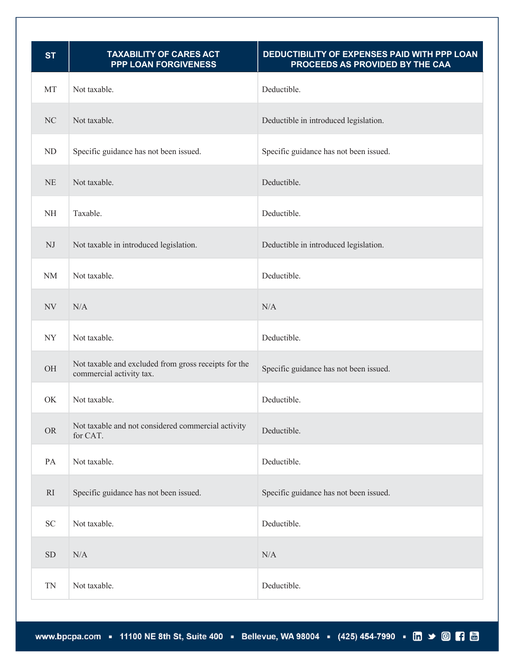| <b>ST</b>   | <b>TAXABILITY OF CARES ACT</b><br><b>PPP LOAN FORGIVENESS</b>                    | DEDUCTIBILITY OF EXPENSES PAID WITH PPP LOAN<br>PROCEEDS AS PROVIDED BY THE CAA |
|-------------|----------------------------------------------------------------------------------|---------------------------------------------------------------------------------|
| MT          | Not taxable.                                                                     | Deductible.                                                                     |
| NC          | Not taxable.                                                                     | Deductible in introduced legislation.                                           |
| ${\rm ND}$  | Specific guidance has not been issued.                                           | Specific guidance has not been issued.                                          |
| NE          | Not taxable.                                                                     | Deductible.                                                                     |
| $\rm NH$    | Taxable.                                                                         | Deductible.                                                                     |
| $\rm{NJ}$   | Not taxable in introduced legislation.                                           | Deductible in introduced legislation.                                           |
| $\rm{NM}$   | Not taxable.                                                                     | Deductible.                                                                     |
| NV          | N/A                                                                              | N/A                                                                             |
| <b>NY</b>   | Not taxable.                                                                     | Deductible.                                                                     |
| OH          | Not taxable and excluded from gross receipts for the<br>commercial activity tax. | Specific guidance has not been issued.                                          |
| OK          | Not taxable.                                                                     | Deductible.                                                                     |
| <b>OR</b>   | Not taxable and not considered commercial activity<br>for CAT.                   | Deductible.                                                                     |
| PA          | Not taxable.                                                                     | Deductible.                                                                     |
| RI          | Specific guidance has not been issued.                                           | Specific guidance has not been issued.                                          |
| ${\rm SC}$  | Not taxable.                                                                     | Deductible.                                                                     |
| ${\rm SD}$  | $\rm N/A$                                                                        | $\rm N/A$                                                                       |
| $\mbox{TN}$ | Not taxable.                                                                     | Deductible.                                                                     |